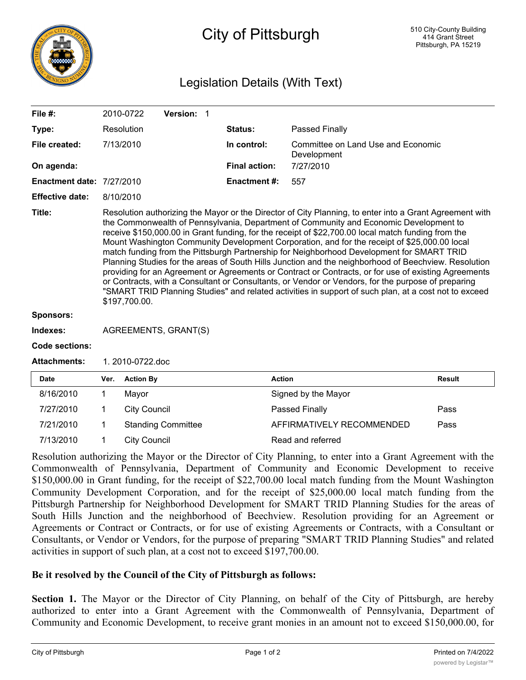

## City of Pittsburgh

## Legislation Details (With Text)

| File $#$ :                       |                                                                                                                                                                                                                                                                                                                                                                                                                                                                                                                                                                                                                                                                                                                                                                                                                                                                                                                                                     | 2010-0722                | Version: 1                |  |                      |                                   |                                    |  |  |
|----------------------------------|-----------------------------------------------------------------------------------------------------------------------------------------------------------------------------------------------------------------------------------------------------------------------------------------------------------------------------------------------------------------------------------------------------------------------------------------------------------------------------------------------------------------------------------------------------------------------------------------------------------------------------------------------------------------------------------------------------------------------------------------------------------------------------------------------------------------------------------------------------------------------------------------------------------------------------------------------------|--------------------------|---------------------------|--|----------------------|-----------------------------------|------------------------------------|--|--|
| Type:                            |                                                                                                                                                                                                                                                                                                                                                                                                                                                                                                                                                                                                                                                                                                                                                                                                                                                                                                                                                     | Resolution               |                           |  | Status:              | Passed Finally                    |                                    |  |  |
| File created:                    |                                                                                                                                                                                                                                                                                                                                                                                                                                                                                                                                                                                                                                                                                                                                                                                                                                                                                                                                                     | 7/13/2010<br>In control: |                           |  |                      | Development                       | Committee on Land Use and Economic |  |  |
| On agenda:                       |                                                                                                                                                                                                                                                                                                                                                                                                                                                                                                                                                                                                                                                                                                                                                                                                                                                                                                                                                     |                          |                           |  | <b>Final action:</b> | 7/27/2010                         |                                    |  |  |
| <b>Enactment date: 7/27/2010</b> |                                                                                                                                                                                                                                                                                                                                                                                                                                                                                                                                                                                                                                                                                                                                                                                                                                                                                                                                                     |                          |                           |  | <b>Enactment #:</b>  | 557                               |                                    |  |  |
| <b>Effective date:</b>           |                                                                                                                                                                                                                                                                                                                                                                                                                                                                                                                                                                                                                                                                                                                                                                                                                                                                                                                                                     | 8/10/2010                |                           |  |                      |                                   |                                    |  |  |
| Title:                           | Resolution authorizing the Mayor or the Director of City Planning, to enter into a Grant Agreement with<br>the Commonwealth of Pennsylvania, Department of Community and Economic Development to<br>receive \$150,000.00 in Grant funding, for the receipt of \$22,700.00 local match funding from the<br>Mount Washington Community Development Corporation, and for the receipt of \$25,000.00 local<br>match funding from the Pittsburgh Partnership for Neighborhood Development for SMART TRID<br>Planning Studies for the areas of South Hills Junction and the neighborhood of Beechview. Resolution<br>providing for an Agreement or Agreements or Contract or Contracts, or for use of existing Agreements<br>or Contracts, with a Consultant or Consultants, or Vendor or Vendors, for the purpose of preparing<br>"SMART TRID Planning Studies" and related activities in support of such plan, at a cost not to exceed<br>\$197,700.00. |                          |                           |  |                      |                                   |                                    |  |  |
| <b>Sponsors:</b>                 |                                                                                                                                                                                                                                                                                                                                                                                                                                                                                                                                                                                                                                                                                                                                                                                                                                                                                                                                                     |                          |                           |  |                      |                                   |                                    |  |  |
| Indexes:                         | AGREEMENTS, GRANT(S)                                                                                                                                                                                                                                                                                                                                                                                                                                                                                                                                                                                                                                                                                                                                                                                                                                                                                                                                |                          |                           |  |                      |                                   |                                    |  |  |
| <b>Code sections:</b>            |                                                                                                                                                                                                                                                                                                                                                                                                                                                                                                                                                                                                                                                                                                                                                                                                                                                                                                                                                     |                          |                           |  |                      |                                   |                                    |  |  |
| <b>Attachments:</b>              | 1.2010-0722.doc                                                                                                                                                                                                                                                                                                                                                                                                                                                                                                                                                                                                                                                                                                                                                                                                                                                                                                                                     |                          |                           |  |                      |                                   |                                    |  |  |
| <b>Date</b>                      | Ver.                                                                                                                                                                                                                                                                                                                                                                                                                                                                                                                                                                                                                                                                                                                                                                                                                                                                                                                                                | <b>Action By</b>         |                           |  | <b>Action</b>        |                                   | <b>Result</b>                      |  |  |
| 8/16/2010                        | 1                                                                                                                                                                                                                                                                                                                                                                                                                                                                                                                                                                                                                                                                                                                                                                                                                                                                                                                                                   | Mayor                    |                           |  |                      | Signed by the Mayor               |                                    |  |  |
| 7/27/2010                        | 1                                                                                                                                                                                                                                                                                                                                                                                                                                                                                                                                                                                                                                                                                                                                                                                                                                                                                                                                                   | <b>City Council</b>      |                           |  |                      | Passed Finally<br>Pass            |                                    |  |  |
| 7/21/2010                        | 1                                                                                                                                                                                                                                                                                                                                                                                                                                                                                                                                                                                                                                                                                                                                                                                                                                                                                                                                                   |                          | <b>Standing Committee</b> |  |                      | AFFIRMATIVELY RECOMMENDED<br>Pass |                                    |  |  |
| 7/13/2010                        | 1                                                                                                                                                                                                                                                                                                                                                                                                                                                                                                                                                                                                                                                                                                                                                                                                                                                                                                                                                   | <b>City Council</b>      |                           |  |                      | Read and referred                 |                                    |  |  |

Resolution authorizing the Mayor or the Director of City Planning, to enter into a Grant Agreement with the Commonwealth of Pennsylvania, Department of Community and Economic Development to receive \$150,000.00 in Grant funding, for the receipt of \$22,700.00 local match funding from the Mount Washington Community Development Corporation, and for the receipt of \$25,000.00 local match funding from the Pittsburgh Partnership for Neighborhood Development for SMART TRID Planning Studies for the areas of South Hills Junction and the neighborhood of Beechview. Resolution providing for an Agreement or Agreements or Contract or Contracts, or for use of existing Agreements or Contracts, with a Consultant or Consultants, or Vendor or Vendors, for the purpose of preparing "SMART TRID Planning Studies" and related activities in support of such plan, at a cost not to exceed \$197,700.00.

## **Be it resolved by the Council of the City of Pittsburgh as follows:**

**Section 1.** The Mayor or the Director of City Planning, on behalf of the City of Pittsburgh, are hereby authorized to enter into a Grant Agreement with the Commonwealth of Pennsylvania, Department of Community and Economic Development, to receive grant monies in an amount not to exceed \$150,000.00, for